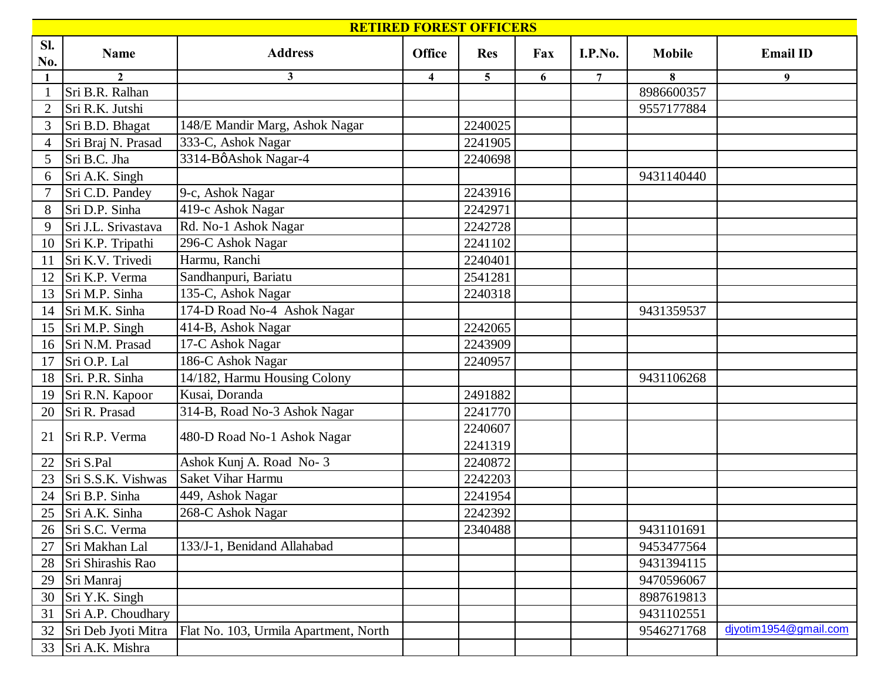| <b>RETIRED FOREST OFFICERS</b> |                     |                                       |                         |                |     |                |               |                       |  |  |
|--------------------------------|---------------------|---------------------------------------|-------------------------|----------------|-----|----------------|---------------|-----------------------|--|--|
| Sl.<br>No.                     | <b>Name</b>         | <b>Address</b>                        | Office                  | <b>Res</b>     | Fax | I.P.No.        | <b>Mobile</b> | <b>Email ID</b>       |  |  |
|                                | $\overline{2}$      | 3                                     | $\overline{\mathbf{4}}$ | 5 <sup>5</sup> | 6   | $\overline{7}$ | 8             | 9                     |  |  |
|                                | Sri B.R. Ralhan     |                                       |                         |                |     |                | 8986600357    |                       |  |  |
| $\overline{2}$                 | Sri R.K. Jutshi     |                                       |                         |                |     |                | 9557177884    |                       |  |  |
| 3                              | Sri B.D. Bhagat     | 148/E Mandir Marg, Ashok Nagar        |                         | 2240025        |     |                |               |                       |  |  |
| $\overline{4}$                 | Sri Braj N. Prasad  | 333-C, Ashok Nagar                    |                         | 2241905        |     |                |               |                       |  |  |
| 5                              | Sri B.C. Jha        | 3314-BøAshok Nagar-4                  |                         | 2240698        |     |                |               |                       |  |  |
| 6                              | Sri A.K. Singh      |                                       |                         |                |     |                | 9431140440    |                       |  |  |
|                                | Sri C.D. Pandey     | 9-c, Ashok Nagar                      |                         | 2243916        |     |                |               |                       |  |  |
| 8                              | Sri D.P. Sinha      | 419-c Ashok Nagar                     |                         | 2242971        |     |                |               |                       |  |  |
| 9                              | Sri J.L. Srivastava | Rd. No-1 Ashok Nagar                  |                         | 2242728        |     |                |               |                       |  |  |
| 10                             | Sri K.P. Tripathi   | 296-C Ashok Nagar                     |                         | 2241102        |     |                |               |                       |  |  |
| <sup>11</sup>                  | Sri K.V. Trivedi    | Harmu, Ranchi                         |                         | 2240401        |     |                |               |                       |  |  |
| 12                             | Sri K.P. Verma      | Sandhanpuri, Bariatu                  |                         | 2541281        |     |                |               |                       |  |  |
| 13                             | Sri M.P. Sinha      | 135-C, Ashok Nagar                    |                         | 2240318        |     |                |               |                       |  |  |
| 14                             | Sri M.K. Sinha      | 174-D Road No-4 Ashok Nagar           |                         |                |     |                | 9431359537    |                       |  |  |
| 15                             | Sri M.P. Singh      | 414-B, Ashok Nagar                    |                         | 2242065        |     |                |               |                       |  |  |
| 16                             | Sri N.M. Prasad     | 17-C Ashok Nagar                      |                         | 2243909        |     |                |               |                       |  |  |
| 17                             | Sri O.P. Lal        | 186-C Ashok Nagar                     |                         | 2240957        |     |                |               |                       |  |  |
| 18                             | Sri. P.R. Sinha     | 14/182, Harmu Housing Colony          |                         |                |     |                | 9431106268    |                       |  |  |
| 19                             | Sri R.N. Kapoor     | Kusai, Doranda                        |                         | 2491882        |     |                |               |                       |  |  |
| 20                             | Sri R. Prasad       | 314-B, Road No-3 Ashok Nagar          |                         | 2241770        |     |                |               |                       |  |  |
|                                |                     |                                       |                         | 2240607        |     |                |               |                       |  |  |
| 21                             | Sri R.P. Verma      | 480-D Road No-1 Ashok Nagar           |                         | 2241319        |     |                |               |                       |  |  |
| 22                             | Sri S.Pal           | Ashok Kunj A. Road No-3               |                         | 2240872        |     |                |               |                       |  |  |
| 23                             | Sri S.S.K. Vishwas  | Saket Vihar Harmu                     |                         | 2242203        |     |                |               |                       |  |  |
| 24                             | Sri B.P. Sinha      | 449, Ashok Nagar                      |                         | 2241954        |     |                |               |                       |  |  |
| 25                             | Sri A.K. Sinha      | 268-C Ashok Nagar                     |                         | 2242392        |     |                |               |                       |  |  |
| 26                             | Sri S.C. Verma      |                                       |                         | 2340488        |     |                | 9431101691    |                       |  |  |
| 27                             | Sri Makhan Lal      | 133/J-1, Benidand Allahabad           |                         |                |     |                | 9453477564    |                       |  |  |
| 28                             | Sri Shirashis Rao   |                                       |                         |                |     |                | 9431394115    |                       |  |  |
| 29                             | Sri Manraj          |                                       |                         |                |     |                | 9470596067    |                       |  |  |
| 30                             | Sri Y.K. Singh      |                                       |                         |                |     |                | 8987619813    |                       |  |  |
| 31                             | Sri A.P. Choudhary  |                                       |                         |                |     |                | 9431102551    |                       |  |  |
| 32                             | Sri Deb Jyoti Mitra | Flat No. 103, Urmila Apartment, North |                         |                |     |                | 9546271768    | djyotim1954@gmail.com |  |  |
| 33                             | Sri A.K. Mishra     |                                       |                         |                |     |                |               |                       |  |  |